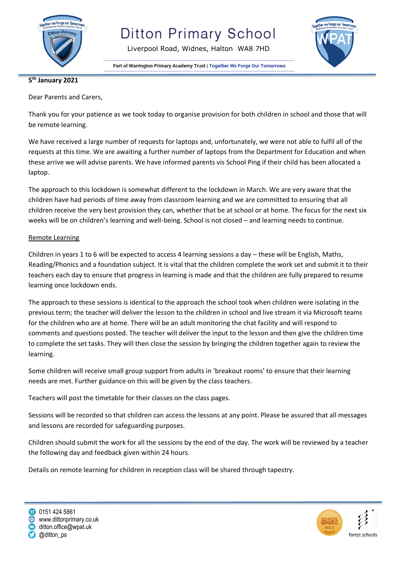

Liverpool Road, Widnes, Halton WA8 7HD

Part of Warrington Primary Academy Trust | Together We Forge Our Tomorrows



#### **5 th January 2021**

Dear Parents and Carers,

Thank you for your patience as we took today to organise provision for both children in school and those that will be remote learning.

We have received a large number of requests for laptops and, unfortunately, we were not able to fulfil all of the requests at this time. We are awaiting a further number of laptops from the Department for Education and when these arrive we will advise parents. We have informed parents vis School Ping if their child has been allocated a laptop.

The approach to this lockdown is somewhat different to the lockdown in March. We are very aware that the children have had periods of time away from classroom learning and we are committed to ensuring that all children receive the very best provision they can, whether that be at school or at home. The focus for the next six weeks will be on children's learning and well-being. School is not closed – and learning needs to continue.

#### Remote Learning

Children in years 1 to 6 will be expected to access 4 learning sessions a day – these will be English, Maths, Reading/Phonics and a foundation subject. It is vital that the children complete the work set and submit it to their teachers each day to ensure that progress in learning is made and that the children are fully prepared to resume learning once lockdown ends.

The approach to these sessions is identical to the approach the school took when children were isolating in the previous term; the teacher will deliver the lesson to the children in school and live stream it via Microsoft teams for the children who are at home. There will be an adult monitoring the chat facility and will respond to comments and questions posted. The teacher will deliver the input to the lesson and then give the children time to complete the set tasks. They will then close the session by bringing the children together again to review the learning.

Some children will receive small group support from adults in 'breakout rooms' to ensure that their learning needs are met. Further guidance on this will be given by the class teachers.

Teachers will post the timetable for their classes on the class pages.

Sessions will be recorded so that children can access the lessons at any point. Please be assured that all messages and lessons are recorded for safeguarding purposes.

Children should submit the work for all the sessions by the end of the day. The work will be reviewed by a teacher the following day and feedback given within 24 hours.

Details on remote learning for children in reception class will be shared through tapestry.



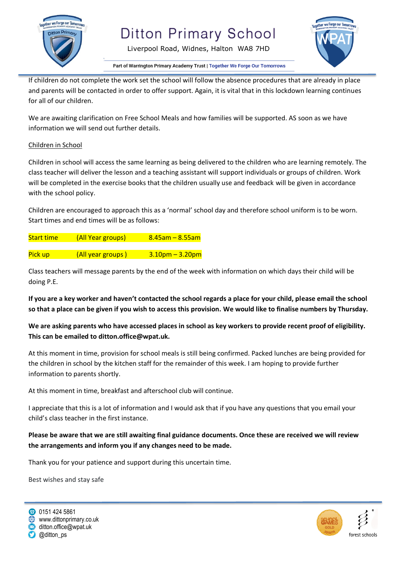

## **Ditton Primary School**



Part of Warrington Primary Academy Trust | Together We Forge Our Tomorrows

Liverpool Road, Widnes, Halton WA8 7HD

If children do not complete the work set the school will follow the absence procedures that are already in place and parents will be contacted in order to offer support. Again, it is vital that in this lockdown learning continues for all of our children.

We are awaiting clarification on Free School Meals and how families will be supported. AS soon as we have information we will send out further details.

#### Children in School

Children in school will access the same learning as being delivered to the children who are learning remotely. The class teacher will deliver the lesson and a teaching assistant will support individuals or groups of children. Work will be completed in the exercise books that the children usually use and feedback will be given in accordance with the school policy.

Children are encouraged to approach this as a 'normal' school day and therefore school uniform is to be worn. Start times and end times will be as follows:

| <b>Start time</b> | (All Year groups) | $8.45$ am – 8.55am |
|-------------------|-------------------|--------------------|
|                   |                   |                    |
| Pick up           | (All year groups) | $3.10pm - 3.20pm$  |

Class teachers will message parents by the end of the week with information on which days their child will be doing P.E.

**If you are a key worker and haven't contacted the school regards a place for your child, please email the school so that a place can be given if you wish to access this provision. We would like to finalise numbers by Thursday.**

**We are asking parents who have accessed places in school as key workers to provide recent proof of eligibility. This can be emailed to ditton.office@wpat.uk.**

At this moment in time, provision for school meals is still being confirmed. Packed lunches are being provided for the children in school by the kitchen staff for the remainder of this week. I am hoping to provide further information to parents shortly.

At this moment in time, breakfast and afterschool club will continue.

I appreciate that this is a lot of information and I would ask that if you have any questions that you email your child's class teacher in the first instance.

### **Please be aware that we are still awaiting final guidance documents. Once these are received we will review the arrangements and inform you if any changes need to be made.**

Thank you for your patience and support during this uncertain time.

Best wishes and stay safe